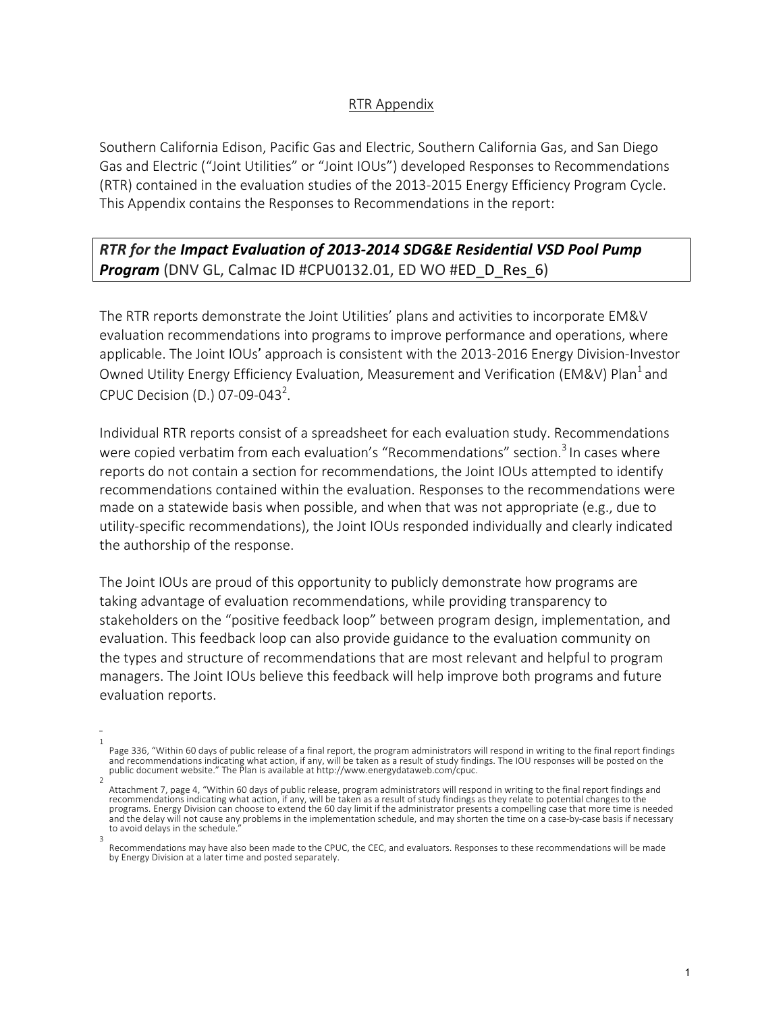## RTR Appendix

Southern California Edison, Pacific Gas and Electric, Southern California Gas, and San Diego Gas and Electric ("Joint Utilities" or "Joint IOUs") developed Responses to Recommendations (RTR) contained in the evaluation studies of the 2013-2015 Energy Efficiency Program Cycle. This Appendix contains the Responses to Recommendations in the report:

## **RTR** for the *Impact Evaluation of 2013-2014 SDG&E Residential VSD Pool Pump* **Program** (DNV GL, Calmac ID #CPU0132.01, ED WO #ED D Res 6)

The RTR reports demonstrate the Joint Utilities' plans and activities to incorporate EM&V evaluation recommendations into programs to improve performance and operations, where applicable. The Joint IOUs' approach is consistent with the 2013-2016 Energy Division-Investor Owned Utility Energy Efficiency Evaluation, Measurement and Verification (EM&V) Plan<sup>1</sup> and CPUC Decision (D.) 07-09-043<sup>2</sup>.

Individual RTR reports consist of a spreadsheet for each evaluation study. Recommendations were copied verbatim from each evaluation's "Recommendations" section.<sup>3</sup> In cases where reports do not contain a section for recommendations, the Joint IOUs attempted to identify recommendations contained within the evaluation. Responses to the recommendations were made on a statewide basis when possible, and when that was not appropriate (e.g., due to utility-specific recommendations), the Joint IOUs responded individually and clearly indicated the authorship of the response.

The Joint IOUs are proud of this opportunity to publicly demonstrate how programs are taking advantage of evaluation recommendations, while providing transparency to stakeholders on the "positive feedback loop" between program design, implementation, and evaluation. This feedback loop can also provide guidance to the evaluation community on the types and structure of recommendations that are most relevant and helpful to program managers. The Joint IOUs believe this feedback will help improve both programs and future evaluation reports.

<sup>1</sup> Page 336, "Within 60 days of public release of a final report, the program administrators will respond in writing to the final report findings and recommendations indicating what action, if any, will be taken as a result of study findings. The IOU responses will be posted on the public document website." The Plan is available at http://www.energydataweb.com/cpuc. 2

Attachment 7, page 4, "Within 60 days of public release, program administrators will respond in writing to the final report findings and recommendations indicating what action, if any, will be taken as a result of study findings as they relate to potential changes to the programs. Energy Division can choose to extend the 60 day limit if the administrator presents a compelling case that more time is needed and the delay will not cause any problems in the implementation schedule, and may shorten the time on a case-by-case basis if necessary to avoid delays in the schedule. 3

Recommendations may have also been made to the CPUC, the CEC, and evaluators. Responses to these recommendations will be made by Energy Division at a later time and posted separately.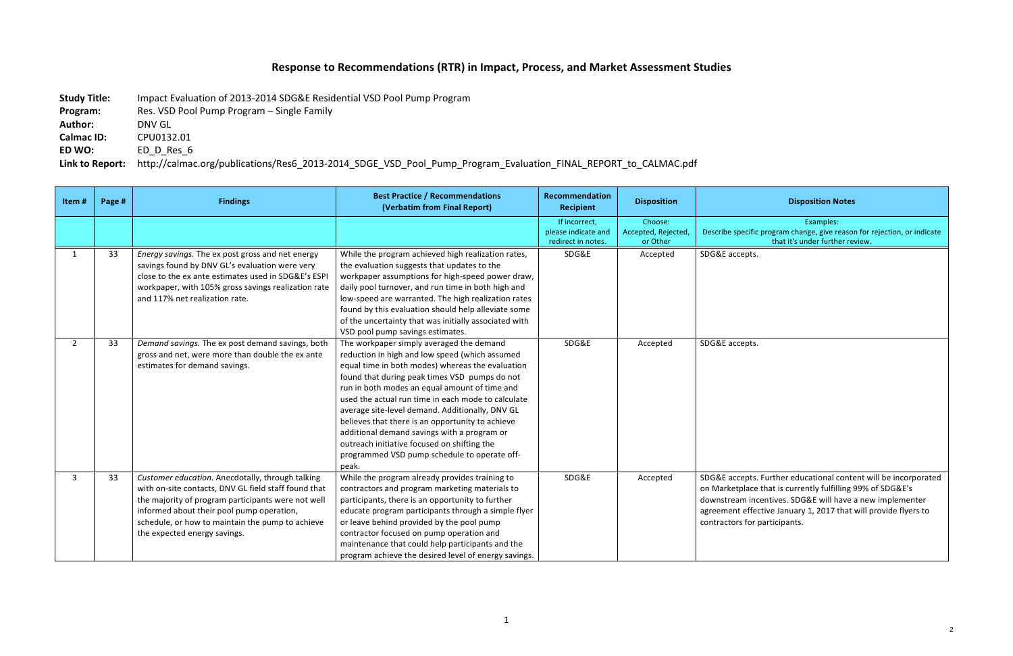## Response to Recommendations (RTR) in Impact, Process, and Market Assessment Studies

**Study Title:** Impact Evaluation of 2013-2014 SDG&E Residential VSD Pool Pump Program

**Program:** Res. VSD Pool Pump Program - Single Family

Author: **DNV GL** 

**Calmac ID: CPU0132.01** 

**ED WO:** ED\_D\_Res\_6

Link to Report: http://calmac.org/publications/Res6\_2013-2014\_SDGE\_VSD\_Pool\_Pump\_Program\_Evaluation\_FINAL\_REPORT\_to\_CALMAC.pdf

| nmendation<br>ecipient                        | <b>Disposition</b>                         | <b>Disposition Notes</b>                                                                                                                                                                                                                                                                      |
|-----------------------------------------------|--------------------------------------------|-----------------------------------------------------------------------------------------------------------------------------------------------------------------------------------------------------------------------------------------------------------------------------------------------|
| incorrect,<br>e indicate and<br>ect in notes. | Choose:<br>Accepted, Rejected,<br>or Other | Examples:<br>Describe specific program change, give reason for rejection, or indicate<br>that it's under further review.                                                                                                                                                                      |
| SDG&E                                         | Accepted                                   | SDG&E accepts.                                                                                                                                                                                                                                                                                |
| SDG&E                                         | Accepted                                   | SDG&E accepts.                                                                                                                                                                                                                                                                                |
| SDG&E                                         | Accepted                                   | SDG&E accepts. Further educational content will be incorporated<br>on Marketplace that is currently fulfilling 99% of SDG&E's<br>downstream incentives. SDG&E will have a new implementer<br>agreement effective January 1, 2017 that will provide flyers to<br>contractors for participants. |

| Item#       | Page # | <b>Findings</b>                                                                                                                                                                                                                                                                                 | <b>Best Practice / Recommendations</b><br>(Verbatim from Final Report)                                                                                                                                                                                                                                                                                                                                                                                                                                                                                               | <b>Recommendation</b><br><b>Recipient</b>                  | <b>Disposition</b>                         | <b>Disposition Notes</b>                                                                                                                                                                                        |
|-------------|--------|-------------------------------------------------------------------------------------------------------------------------------------------------------------------------------------------------------------------------------------------------------------------------------------------------|----------------------------------------------------------------------------------------------------------------------------------------------------------------------------------------------------------------------------------------------------------------------------------------------------------------------------------------------------------------------------------------------------------------------------------------------------------------------------------------------------------------------------------------------------------------------|------------------------------------------------------------|--------------------------------------------|-----------------------------------------------------------------------------------------------------------------------------------------------------------------------------------------------------------------|
|             |        |                                                                                                                                                                                                                                                                                                 |                                                                                                                                                                                                                                                                                                                                                                                                                                                                                                                                                                      | If incorrect,<br>please indicate and<br>redirect in notes. | Choose:<br>Accepted, Rejected,<br>or Other | Examples:<br>Describe specific program change, give reasor<br>that it's under further re                                                                                                                        |
|             | 33     | Energy savings. The ex post gross and net energy<br>savings found by DNV GL's evaluation were very<br>close to the ex ante estimates used in SDG&E's ESPI<br>workpaper, with 105% gross savings realization rate<br>and 117% net realization rate.                                              | While the program achieved high realization rates,<br>the evaluation suggests that updates to the<br>workpaper assumptions for high-speed power draw,<br>daily pool turnover, and run time in both high and<br>low-speed are warranted. The high realization rates<br>found by this evaluation should help alleviate some<br>of the uncertainty that was initially associated with<br>VSD pool pump savings estimates.                                                                                                                                               | SDG&E                                                      | Accepted                                   | SDG&E accepts.                                                                                                                                                                                                  |
| $2^{\circ}$ | 33     | Demand savings. The ex post demand savings, both<br>gross and net, were more than double the ex ante<br>estimates for demand savings.                                                                                                                                                           | The workpaper simply averaged the demand<br>reduction in high and low speed (which assumed<br>equal time in both modes) whereas the evaluation<br>found that during peak times VSD pumps do not<br>run in both modes an equal amount of time and<br>used the actual run time in each mode to calculate<br>average site-level demand. Additionally, DNV GL<br>believes that there is an opportunity to achieve<br>additional demand savings with a program or<br>outreach initiative focused on shifting the<br>programmed VSD pump schedule to operate off-<br>peak. | SDG&E                                                      | Accepted                                   | SDG&E accepts.                                                                                                                                                                                                  |
| 3           | 33     | Customer education. Anecdotally, through talking<br>with on-site contacts, DNV GL field staff found that<br>the majority of program participants were not well<br>informed about their pool pump operation,<br>schedule, or how to maintain the pump to achieve<br>the expected energy savings. | While the program already provides training to<br>contractors and program marketing materials to<br>participants, there is an opportunity to further<br>educate program participants through a simple flyer<br>or leave behind provided by the pool pump<br>contractor focused on pump operation and<br>maintenance that could help participants and the<br>program achieve the desired level of energy savings.                                                                                                                                                     | SDG&E                                                      | Accepted                                   | SDG&E accepts. Further educational conte<br>on Marketplace that is currently fulfilling!<br>downstream incentives. SDG&E will have<br>agreement effective January 1, 2017 that<br>contractors for participants. |